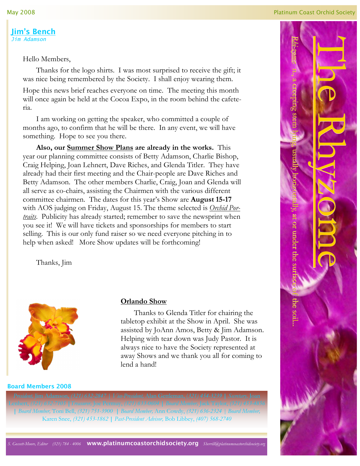May 2008

Jim's Bench Jim Adamson

Hello Members,

 Thanks for the logo shirts. I was most surprised to receive the gift; it was nice being remembered by the Society. I shall enjoy wearing them.

Hope this news brief reaches everyone on time. The meeting this month will once again be held at the Cocoa Expo, in the room behind the cafeteria.

 I am working on getting the speaker, who committed a couple of months ago, to confirm that he will be there. In any event, we will have something. Hope to see you there.

Also, our **Summer Show Plans** are already in the works. This year our planning committee consists of Betty Adamson, Charlie Bishop, Craig Helping, Joan Lehnert, Dave Riches, and Glenda Titler. They have already had their first meeting and the Chair-people are Dave Riches and Betty Adamson. The other members Charlie, Craig, Joan and Glenda will all serve as co-chairs, assisting the Chairmen with the various different committee chairmen. The dates for this year's Show are August 15-17 with AOS judging on Friday, August 15. The theme selected is *Orchid Por*traits. Publicity has already started; remember to save the newsprint when you see it! We will have tickets and sponsorships for members to start selling. This is our only fund raiser so we need everyone pitching in to help when asked! More Show updates will be forthcoming!

Thanks, Jim



### Orlando Show

 Thanks to Glenda Titler for chairing the tabletop exhibit at the Show in April. She was assisted by JoAnn Amos, Betty & Jim Adamson. Helping with tear down was Judy Pastor. It is always nice to have the Society represented at away Shows and we thank you all for coming to lend a hand!

#### Board Members 2008

| Board Member, Toni Bell, (321) 751-3900 | Board Member, Ann Cowdy, (321) 636-2324 | Board Member, Karen Snee, (321) 453-1862 | Past-President Advisor, Bob Libbey, (407) 568-2740